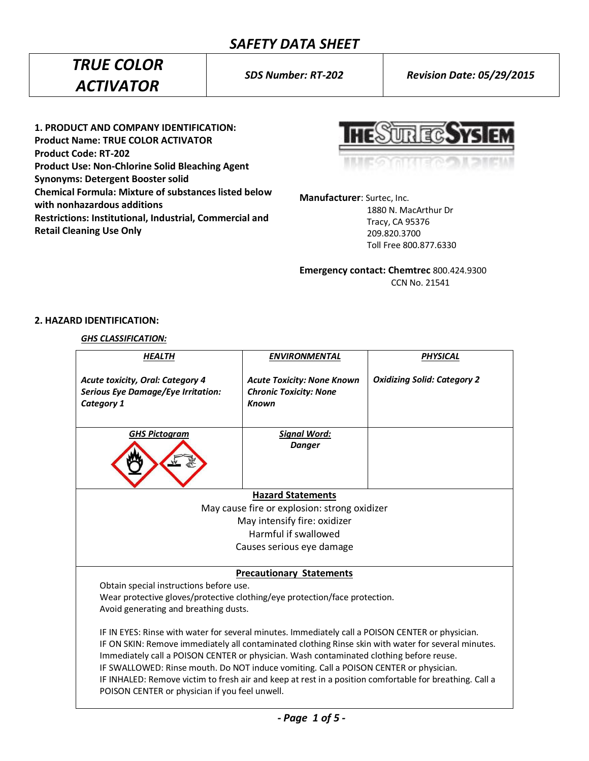# *SAFETY DATA SHEET*

# *TRUE COLOR ACTIVATOR*

*SDS Number: RT-202 Revision Date: 05/29/2015*

**1. PRODUCT AND COMPANY IDENTIFICATION: Product Name: TRUE COLOR ACTIVATOR Product Code: RT-202 Product Use: Non-Chlorine Solid Bleaching Agent Synonyms: Detergent Booster solid Chemical Formula: Mixture of substances listed below with nonhazardous additions Restrictions: Institutional, Industrial, Commercial and Retail Cleaning Use Only**

**HESUREG SYS EM** 

**Manufacturer**: Surtec, Inc.

 1880 N. MacArthur Dr Tracy, CA 95376 209.820.3700 Toll Free 800.877.6330

**Emergency contact: Chemtrec** 800.424.9300 CCN No. 21541

# **2. HAZARD IDENTIFICATION:**

# *GHS CLASSIFICATION:*

| <b>HEALTH</b>                                                                                                                                                                                                                                                                                                                                                                                                                                                                                                                                            | <b>ENVIRONMENTAL</b>                                                               | <b>PHYSICAL</b>                    |  |
|----------------------------------------------------------------------------------------------------------------------------------------------------------------------------------------------------------------------------------------------------------------------------------------------------------------------------------------------------------------------------------------------------------------------------------------------------------------------------------------------------------------------------------------------------------|------------------------------------------------------------------------------------|------------------------------------|--|
| <b>Acute toxicity, Oral: Category 4</b><br><b>Serious Eye Damage/Eye Irritation:</b><br><b>Category 1</b>                                                                                                                                                                                                                                                                                                                                                                                                                                                | <b>Acute Toxicity: None Known</b><br><b>Chronic Toxicity: None</b><br><b>Known</b> | <b>Oxidizing Solid: Category 2</b> |  |
| <b>GHS Pictogram</b>                                                                                                                                                                                                                                                                                                                                                                                                                                                                                                                                     | <b>Signal Word:</b><br><b>Danger</b>                                               |                                    |  |
|                                                                                                                                                                                                                                                                                                                                                                                                                                                                                                                                                          | <b>Hazard Statements</b>                                                           |                                    |  |
| May cause fire or explosion: strong oxidizer                                                                                                                                                                                                                                                                                                                                                                                                                                                                                                             |                                                                                    |                                    |  |
| May intensify fire: oxidizer                                                                                                                                                                                                                                                                                                                                                                                                                                                                                                                             |                                                                                    |                                    |  |
| Harmful if swallowed                                                                                                                                                                                                                                                                                                                                                                                                                                                                                                                                     |                                                                                    |                                    |  |
|                                                                                                                                                                                                                                                                                                                                                                                                                                                                                                                                                          | Causes serious eye damage                                                          |                                    |  |
| <b>Precautionary Statements</b><br>Obtain special instructions before use.<br>Wear protective gloves/protective clothing/eye protection/face protection.<br>Avoid generating and breathing dusts.                                                                                                                                                                                                                                                                                                                                                        |                                                                                    |                                    |  |
| IF IN EYES: Rinse with water for several minutes. Immediately call a POISON CENTER or physician.<br>IF ON SKIN: Remove immediately all contaminated clothing Rinse skin with water for several minutes.<br>Immediately call a POISON CENTER or physician. Wash contaminated clothing before reuse.<br>IF SWALLOWED: Rinse mouth. Do NOT induce vomiting. Call a POISON CENTER or physician.<br>IF INHALED: Remove victim to fresh air and keep at rest in a position comfortable for breathing. Call a<br>POISON CENTER or physician if you feel unwell. |                                                                                    |                                    |  |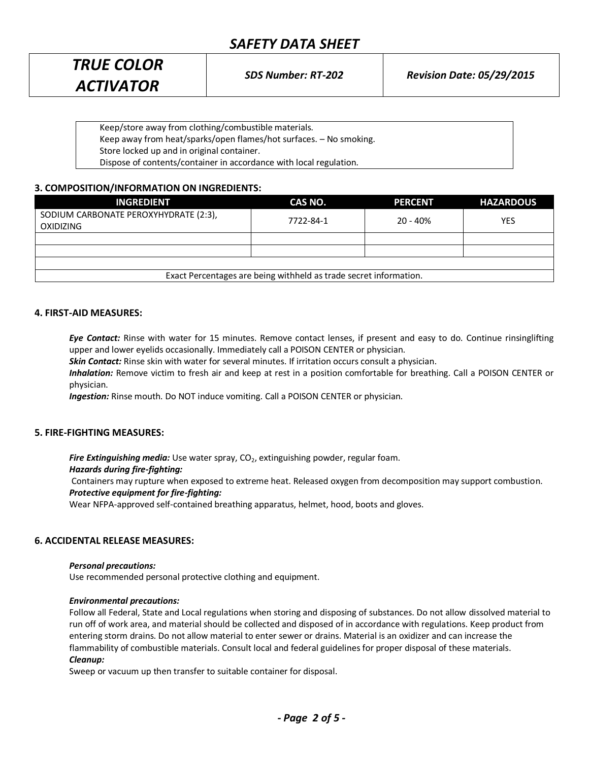# *SAFETY DATA SHEET*

| <b>TRUE COLOR</b> | <b>SDS Number: RT-202</b> | <b>Revision Date: 05/29/2015</b> |
|-------------------|---------------------------|----------------------------------|
| <b>ACTIVATOR</b>  |                           |                                  |
|                   |                           |                                  |

Keep/store away from clothing/combustible materials. Keep away from heat/sparks/open flames/hot surfaces. – No smoking. Store locked up and in original container. Dispose of contents/container in accordance with local regulation.

# **3. COMPOSITION/INFORMATION ON INGREDIENTS:**

| <b>INGREDIENT</b>                                                 | CAS NO.   | <b>PERCENT</b> | <b>HAZARDOUS</b> |  |
|-------------------------------------------------------------------|-----------|----------------|------------------|--|
| SODIUM CARBONATE PEROXYHYDRATE (2:3),<br><b>OXIDIZING</b>         | 7722-84-1 | $20 - 40%$     | YES              |  |
|                                                                   |           |                |                  |  |
|                                                                   |           |                |                  |  |
|                                                                   |           |                |                  |  |
| Exact Percentages are being withheld as trade secret information. |           |                |                  |  |

## **4. FIRST-AID MEASURES:**

*Eye Contact:* Rinse with water for 15 minutes. Remove contact lenses, if present and easy to do. Continue rinsinglifting upper and lower eyelids occasionally. Immediately call a POISON CENTER or physician.

*Skin Contact:* Rinse skin with water for several minutes. If irritation occurs consult a physician.

*Inhalation:* Remove victim to fresh air and keep at rest in a position comfortable for breathing. Call a POISON CENTER or physician.

*Ingestion:* Rinse mouth. Do NOT induce vomiting. Call a POISON CENTER or physician.

## **5. FIRE-FIGHTING MEASURES:**

**Fire Extinguishing media:** Use water spray, CO<sub>2</sub>, extinguishing powder, regular foam.

#### *Hazards during fire-fighting:*

Containers may rupture when exposed to extreme heat. Released oxygen from decomposition may support combustion. *Protective equipment for fire-fighting:*

Wear NFPA-approved self-contained breathing apparatus, helmet, hood, boots and gloves.

## **6. ACCIDENTAL RELEASE MEASURES:**

#### *Personal precautions:*

Use recommended personal protective clothing and equipment.

#### *Environmental precautions:*

Follow all Federal, State and Local regulations when storing and disposing of substances. Do not allow dissolved material to run off of work area, and material should be collected and disposed of in accordance with regulations. Keep product from entering storm drains. Do not allow material to enter sewer or drains. Material is an oxidizer and can increase the flammability of combustible materials. Consult local and federal guidelines for proper disposal of these materials. *Cleanup:*

Sweep or vacuum up then transfer to suitable container for disposal.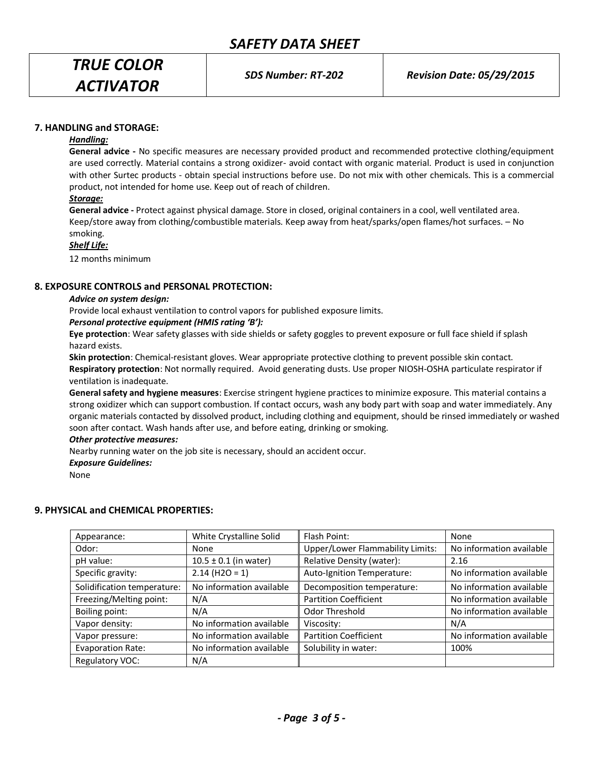*TRUE COLOR ACTIVATOR*

*SDS Number: RT-202 Revision Date: 05/29/2015*

## **7. HANDLING and STORAGE:**

### *Handling:*

**General advice -** No specific measures are necessary provided product and recommended protective clothing/equipment are used correctly. Material contains a strong oxidizer- avoid contact with organic material. Product is used in conjunction with other Surtec products - obtain special instructions before use. Do not mix with other chemicals. This is a commercial product, not intended for home use. Keep out of reach of children.

## *Storage:*

**General advice -** Protect against physical damage. Store in closed, original containers in a cool, well ventilated area. Keep/store away from clothing/combustible materials. Keep away from heat/sparks/open flames/hot surfaces. – No smoking.

## *Shelf Life:*

12 months minimum

## **8. EXPOSURE CONTROLS and PERSONAL PROTECTION:**

#### *Advice on system design:*

Provide local exhaust ventilation to control vapors for published exposure limits.

## *Personal protective equipment (HMIS rating 'B'):*

**Eye protection**: Wear safety glasses with side shields or safety goggles to prevent exposure or full face shield if splash hazard exists.

**Skin protection**: Chemical-resistant gloves. Wear appropriate protective clothing to prevent possible skin contact.

**Respiratory protection**: Not normally required. Avoid generating dusts. Use proper NIOSH-OSHA particulate respirator if ventilation is inadequate.

**General safety and hygiene measures**: Exercise stringent hygiene practices to minimize exposure. This material contains a strong oxidizer which can support combustion. If contact occurs, wash any body part with soap and water immediately. Any organic materials contacted by dissolved product, including clothing and equipment, should be rinsed immediately or washed soon after contact. Wash hands after use, and before eating, drinking or smoking.

#### *Other protective measures:*

Nearby running water on the job site is necessary, should an accident occur.

#### *Exposure Guidelines:*

None

## **9. PHYSICAL and CHEMICAL PROPERTIES:**

| Appearance:                 | White Crystalline Solid   | Flash Point:                     | None                     |
|-----------------------------|---------------------------|----------------------------------|--------------------------|
| Odor:                       | None                      | Upper/Lower Flammability Limits: | No information available |
| pH value:                   | $10.5 \pm 0.1$ (in water) | Relative Density (water):        | 2.16                     |
| Specific gravity:           | $2.14$ (H2O = 1)          | Auto-Ignition Temperature:       | No information available |
| Solidification temperature: | No information available  | Decomposition temperature:       | No information available |
| Freezing/Melting point:     | N/A                       | <b>Partition Coefficient</b>     | No information available |
| Boiling point:              | N/A                       | Odor Threshold                   | No information available |
| Vapor density:              | No information available  | Viscosity:                       | N/A                      |
| Vapor pressure:             | No information available  | <b>Partition Coefficient</b>     | No information available |
| <b>Evaporation Rate:</b>    | No information available  | Solubility in water:             | 100%                     |
| Regulatory VOC:             | N/A                       |                                  |                          |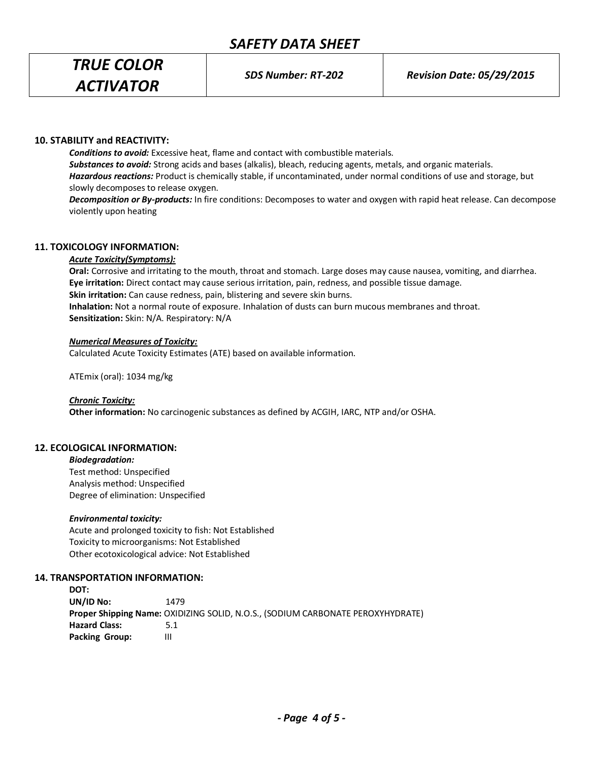# *SAFETY DATA SHEET*

*TRUE COLOR ACTIVATOR*

*SDS Number: RT-202 Revision Date: 05/29/2015*

## **10. STABILITY and REACTIVITY:**

*Conditions to avoid:* Excessive heat, flame and contact with combustible materials. *Substances to avoid:* Strong acids and bases (alkalis), bleach, reducing agents, metals, and organic materials. *Hazardous reactions:* Product is chemically stable, if uncontaminated, under normal conditions of use and storage, but slowly decomposes to release oxygen.

*Decomposition or By-products:* In fire conditions: Decomposes to water and oxygen with rapid heat release. Can decompose violently upon heating

## **11. TOXICOLOGY INFORMATION:**

## *Acute Toxicity(Symptoms):*

**Oral:** Corrosive and irritating to the mouth, throat and stomach. Large doses may cause nausea, vomiting, and diarrhea. **Eye irritation:** Direct contact may cause serious irritation, pain, redness, and possible tissue damage. **Skin irritation:** Can cause redness, pain, blistering and severe skin burns. **Inhalation:** Not a normal route of exposure. Inhalation of dusts can burn mucous membranes and throat. **Sensitization:** Skin: N/A. Respiratory: N/A

#### *Numerical Measures of Toxicity:*

Calculated Acute Toxicity Estimates (ATE) based on available information.

ATEmix (oral): 1034 mg/kg

#### *Chronic Toxicity:*

**Other information:** No carcinogenic substances as defined by ACGIH, IARC, NTP and/or OSHA.

## **12. ECOLOGICAL INFORMATION:**

#### *Biodegradation:*

Test method: Unspecified Analysis method: Unspecified Degree of elimination: Unspecified

#### *Environmental toxicity:*

Acute and prolonged toxicity to fish: Not Established Toxicity to microorganisms: Not Established Other ecotoxicological advice: Not Established

## **14. TRANSPORTATION INFORMATION:**

**DOT: UN/ID No:** 1479 **Proper Shipping Name:** OXIDIZING SOLID, N.O.S., (SODIUM CARBONATE PEROXYHYDRATE) **Hazard Class:** 5.1 **Packing Group:** III